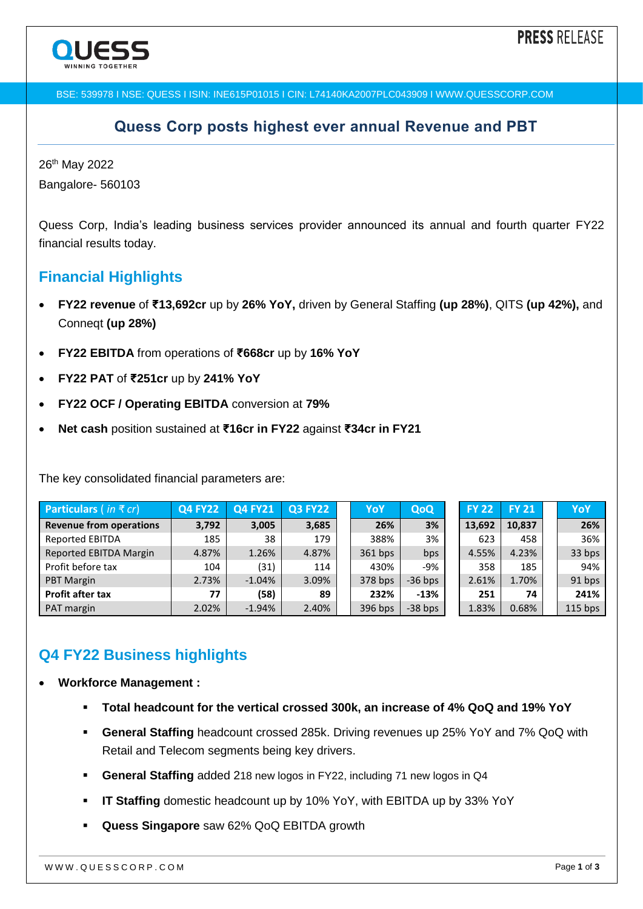

BSE: 539978 I NSE: QUESS I ISIN: INE615P01015 I CIN: L74140KA2007PLC043909 I WWW.QUESSCORP.COM

### **Quess Corp posts highest ever annual Revenue and PBT**

26<sup>th</sup> May 2022 Bangalore- 560103

Quess Corp, India's leading business services provider announced its annual and fourth quarter FY22 financial results today.

# **Financial Highlights**

- **FY22 revenue** of **₹13,692cr** up by **26% YoY,** driven by General Staffing **(up 28%)**, QITS **(up 42%),** and Conneqt **(up 28%)**
- **FY22 EBITDA** from operations of **₹668cr** up by **16% YoY**
- **FY22 PAT** of **₹251cr** up by **241% YoY**
- **FY22 OCF / Operating EBITDA** conversion at **79%**
- **Net cash** position sustained at **₹16cr in FY22** against **₹34cr in FY21**

The key consolidated financial parameters are:

| <b>Particulars</b> (in $\bar{\tau}$ cr) | <b>Q4 FY22</b> | <b>Q4 FY21</b> | <b>Q3 FY22</b> | YoY       | QoQ       | <b>FY 22</b> | <b>FY 21</b> | YoY       |
|-----------------------------------------|----------------|----------------|----------------|-----------|-----------|--------------|--------------|-----------|
| <b>Revenue from operations</b>          | 3,792          | 3,005          | 3,685          | 26%       | 3%        | 13.692       | 10,837       | 26%       |
| <b>Reported EBITDA</b>                  | 185            | 38             | 179            | 388%      | 3%        | 623          | 458          | 36%       |
| Reported EBITDA Margin                  | 4.87%          | 1.26%          | 4.87%          | $361$ bps | bps       | 4.55%        | 4.23%        | 33 bps    |
| Profit before tax                       | 104            | (31)           | 114            | 430%      | -9%       | 358          | 185          | 94%       |
| <b>PBT Margin</b>                       | 2.73%          | $-1.04%$       | 3.09%          | 378 bps   | $-36$ bps | 2.61%        | 1.70%        | 91 bps    |
| <b>Profit after tax</b>                 | 77             | (58)           | 89             | 232%      | $-13%$    | 251          | 74           | 241%      |
| <b>PAT</b> margin                       | 2.02%          | $-1.94%$       | 2.40%          | 396 bps   | $-38$ bps | 1.83%        | 0.68%        | $115$ bps |

# **Q4 FY22 Business highlights**

- **Workforce Management :**
	- **Total headcount for the vertical crossed 300k, an increase of 4% QoQ and 19% YoY**
	- **General Staffing** headcount crossed 285k. Driving revenues up 25% YoY and 7% QoQ with Retail and Telecom segments being key drivers.
	- **General Staffing** added 218 new logos in FY22, including 71 new logos in Q4
	- **IT Staffing** domestic headcount up by 10% YoY, with EBITDA up by 33% YoY
	- **Quess Singapore** saw 62% QoQ EBITDA growth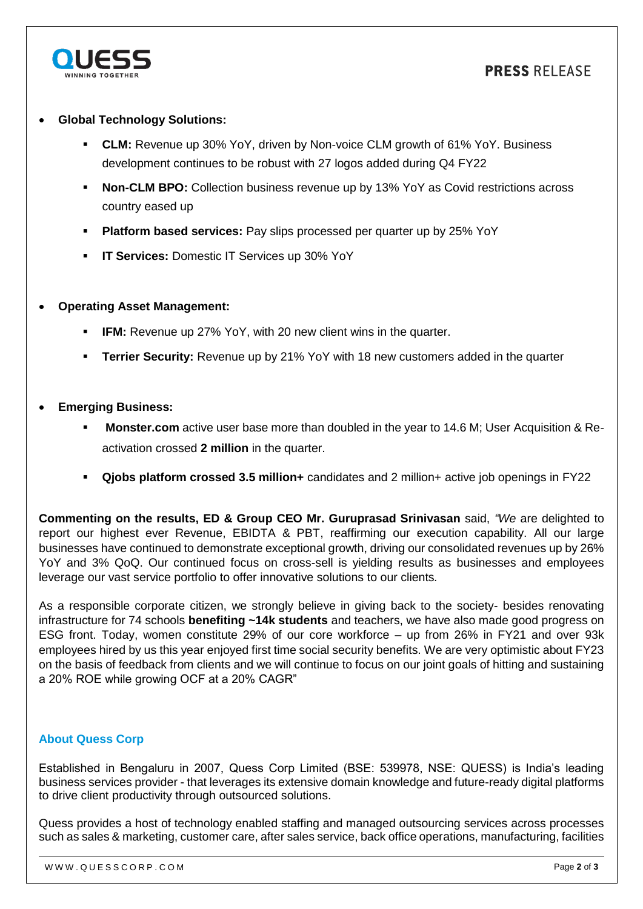

### **Global Technology Solutions:**

- **CLM:** Revenue up 30% YoY, driven by Non-voice CLM growth of 61% YoY. Business development continues to be robust with 27 logos added during Q4 FY22
- **Non-CLM BPO:** Collection business revenue up by 13% YoY as Covid restrictions across country eased up
- **Platform based services:** Pay slips processed per quarter up by 25% YoY
- **IT Services:** Domestic IT Services up 30% YoY

### **Operating Asset Management:**

- **IFM:** Revenue up 27% YoY, with 20 new client wins in the quarter.
- **Terrier Security:** Revenue up by 21% YoY with 18 new customers added in the quarter

#### **Emerging Business:**

- **Monster.com** active user base more than doubled in the year to 14.6 M; User Acquisition & Reactivation crossed **2 million** in the quarter.
- **Qjobs platform crossed 3.5 million+** candidates and 2 million+ active job openings in FY22

**Commenting on the results, ED & Group CEO Mr. Guruprasad Srinivasan** said, *"We* are delighted to report our highest ever Revenue, EBIDTA & PBT, reaffirming our execution capability. All our large businesses have continued to demonstrate exceptional growth, driving our consolidated revenues up by 26% YoY and 3% QoQ. Our continued focus on cross-sell is yielding results as businesses and employees leverage our vast service portfolio to offer innovative solutions to our clients*.*

As a responsible corporate citizen, we strongly believe in giving back to the society- besides renovating infrastructure for 74 schools **benefiting ~14k students** and teachers, we have also made good progress on ESG front. Today, women constitute 29% of our core workforce – up from 26% in FY21 and over 93k employees hired by us this year enjoyed first time social security benefits. We are very optimistic about FY23 on the basis of feedback from clients and we will continue to focus on our joint goals of hitting and sustaining a 20% ROE while growing OCF at a 20% CAGR"

#### **About Quess Corp**

Established in Bengaluru in 2007, Quess Corp Limited (BSE: 539978, NSE: QUESS) is India's leading business services provider - that leverages its extensive domain knowledge and future-ready digital platforms to drive client productivity through outsourced solutions.

Quess provides a host of technology enabled staffing and managed outsourcing services across processes such as sales & marketing, customer care, after sales service, back office operations, manufacturing, facilities